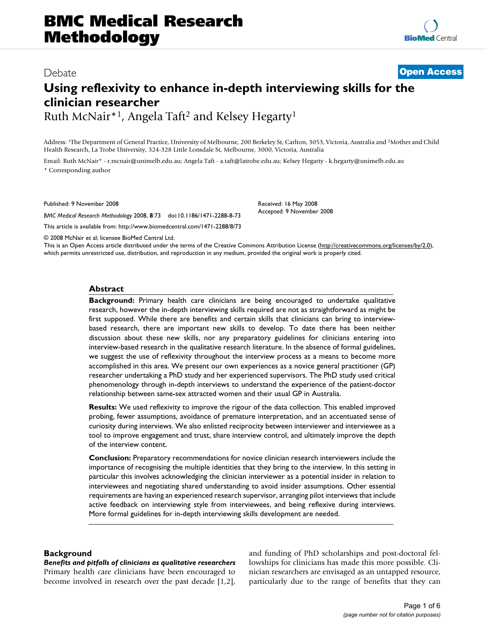## Debate **[Open Access](http://www.biomedcentral.com/info/about/charter/)**

# **Using reflexivity to enhance in-depth interviewing skills for the clinician researcher**

Ruth McNair\*1, Angela Taft2 and Kelsey Hegarty1

Address: 1The Department of General Practice, University of Melbourne, 200 Berkeley St, Carlton, 3053, Victoria, Australia and 2Mother and Child Health Research, La Trobe University, 324-328 Little Lonsdale St, Melbourne, 3000, Victoria, Australia

Email: Ruth McNair\* - r.mcnair@unimelb.edu.au; Angela Taft - a.taft@latrobe.edu.au; Kelsey Hegarty - k.hegarty@unimelb.edu.au \* Corresponding author

Published: 9 November 2008

*BMC Medical Research Methodology* 2008, **8**:73 doi:10.1186/1471-2288-8-73

[This article is available from: http://www.biomedcentral.com/1471-2288/8/73](http://www.biomedcentral.com/1471-2288/8/73)

Received: 16 May 2008 Accepted: 9 November 2008

© 2008 McNair et al; licensee BioMed Central Ltd.

This is an Open Access article distributed under the terms of the Creative Commons Attribution License [\(http://creativecommons.org/licenses/by/2.0\)](http://creativecommons.org/licenses/by/2.0), which permits unrestricted use, distribution, and reproduction in any medium, provided the original work is properly cited.

#### **Abstract**

**Background:** Primary health care clinicians are being encouraged to undertake qualitative research, however the in-depth interviewing skills required are not as straightforward as might be first supposed. While there are benefits and certain skills that clinicians can bring to interviewbased research, there are important new skills to develop. To date there has been neither discussion about these new skills, nor any preparatory guidelines for clinicians entering into interview-based research in the qualitative research literature. In the absence of formal guidelines, we suggest the use of reflexivity throughout the interview process as a means to become more accomplished in this area. We present our own experiences as a novice general practitioner (GP) researcher undertaking a PhD study and her experienced supervisors. The PhD study used critical phenomenology through in-depth interviews to understand the experience of the patient-doctor relationship between same-sex attracted women and their usual GP in Australia.

**Results:** We used reflexivity to improve the rigour of the data collection. This enabled improved probing, fewer assumptions, avoidance of premature interpretation, and an accentuated sense of curiosity during interviews. We also enlisted reciprocity between interviewer and interviewee as a tool to improve engagement and trust, share interview control, and ultimately improve the depth of the interview content.

**Conclusion:** Preparatory recommendations for novice clinician research interviewers include the importance of recognising the multiple identities that they bring to the interview. In this setting in particular this involves acknowledging the clinician interviewer as a potential insider in relation to interviewees and negotiating shared understanding to avoid insider assumptions. Other essential requirements are having an experienced research supervisor, arranging pilot interviews that include active feedback on interviewing style from interviewees, and being reflexive during interviews. More formal guidelines for in-depth interviewing skills development are needed.

#### **Background**

*Benefits and pitfalls of clinicians as qualitative researchers* Primary health care clinicians have been encouraged to become involved in research over the past decade [1,2], and funding of PhD scholarships and post-doctoral fellowships for clinicians has made this more possible. Clinician researchers are envisaged as an untapped resource, particularly due to the range of benefits that they can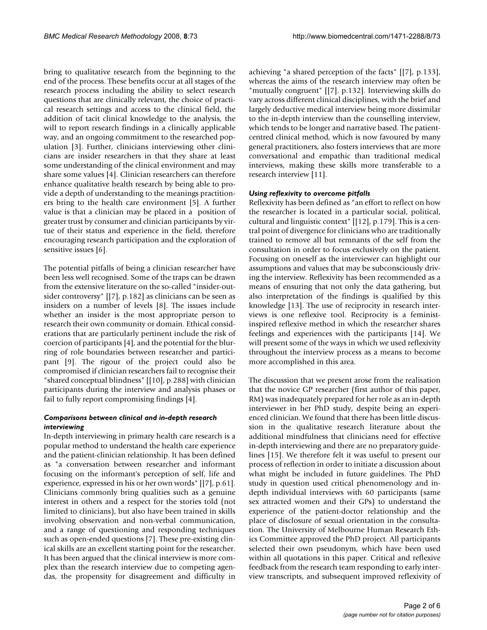bring to qualitative research from the beginning to the end of the process. These benefits occur at all stages of the research process including the ability to select research questions that are clinically relevant, the choice of practical research settings and access to the clinical field, the addition of tacit clinical knowledge to the analysis, the will to report research findings in a clinically applicable way, and an ongoing commitment to the researched population [3]. Further, clinicians interviewing other clinicians are insider researchers in that they share at least some understanding of the clinical environment and may share some values [4]. Clinician researchers can therefore enhance qualitative health research by being able to provide a depth of understanding to the meanings practitioners bring to the health care environment [5]. A further value is that a clinician may be placed in a position of greater trust by consumer and clinician participants by virtue of their status and experience in the field, therefore encouraging research participation and the exploration of sensitive issues [6].

The potential pitfalls of being a clinician researcher have been less well recognised. Some of the traps can be drawn from the extensive literature on the so-called "insider-outsider controversy" [[7], p.182] as clinicians can be seen as insiders on a number of levels [8]. The issues include whether an insider is the most appropriate person to research their own community or domain. Ethical considerations that are particularly pertinent include the risk of coercion of participants [4], and the potential for the blurring of role boundaries between researcher and participant [9]. The rigour of the project could also be compromised if clinician researchers fail to recognise their "shared conceptual blindness" [[10], p.288] with clinician participants during the interview and analysis phases or fail to fully report compromising findings [4].

#### *Comparisons between clinical and in-depth research interviewing*

In-depth interviewing in primary health care research is a popular method to understand the health care experience and the patient-clinician relationship. It has been defined as "a conversation between researcher and informant focusing on the informant's perception of self, life and experience, expressed in his or her own words" [[7], p.61]. Clinicians commonly bring qualities such as a genuine interest in others and a respect for the stories told (not limited to clinicians), but also have been trained in skills involving observation and non-verbal communication, and a range of questioning and responding techniques such as open-ended questions [7]. These pre-existing clinical skills are an excellent starting point for the researcher. It has been argued that the clinical interview is more complex than the research interview due to competing agendas, the propensity for disagreement and difficulty in

achieving "a shared perception of the facts" [[7], p.133], whereas the aims of the research interview may often be "mutually congruent" [[7]. p.132]. Interviewing skills do vary across different clinical disciplines, with the brief and largely deductive medical interview being more dissimilar to the in-depth interview than the counselling interview, which tends to be longer and narrative based. The patientcentred clinical method, which is now favoured by many general practitioners, also fosters interviews that are more conversational and empathic than traditional medical interviews, making these skills more transferable to a research interview [11].

#### *Using reflexivity to overcome pitfalls*

Reflexivity has been defined as "an effort to reflect on how the researcher is located in a particular social, political, cultural and linguistic context" [[12], p.179]. This is a central point of divergence for clinicians who are traditionally trained to remove all but remnants of the self from the consultation in order to focus exclusively on the patient. Focusing on oneself as the interviewer can highlight our assumptions and values that may be subconsciously driving the interview. Reflexivity has been recommended as a means of ensuring that not only the data gathering, but also interpretation of the findings is qualified by this knowledge [13]. The use of reciprocity in research interviews is one reflexive tool. Reciprocity is a feministinspired reflexive method in which the researcher shares feelings and experiences with the participants [14]. We will present some of the ways in which we used reflexivity throughout the interview process as a means to become more accomplished in this area.

The discussion that we present arose from the realisation that the novice GP researcher (first author of this paper, RM) was inadequately prepared for her role as an in-depth interviewer in her PhD study, despite being an experienced clinician. We found that there has been little discussion in the qualitative research literature about the additional mindfulness that clinicians need for effective in-depth interviewing and there are no preparatory guidelines [15]. We therefore felt it was useful to present our process of reflection in order to initiate a discussion about what might be included in future guidelines. The PhD study in question used critical phenomenology and indepth individual interviews with 60 participants (same sex attracted women and their GPs) to understand the experience of the patient-doctor relationship and the place of disclosure of sexual orientation in the consultation. The University of Melbourne Human Research Ethics Committee approved the PhD project. All participants selected their own pseudonym, which have been used within all quotations in this paper. Critical and reflexive feedback from the research team responding to early interview transcripts, and subsequent improved reflexivity of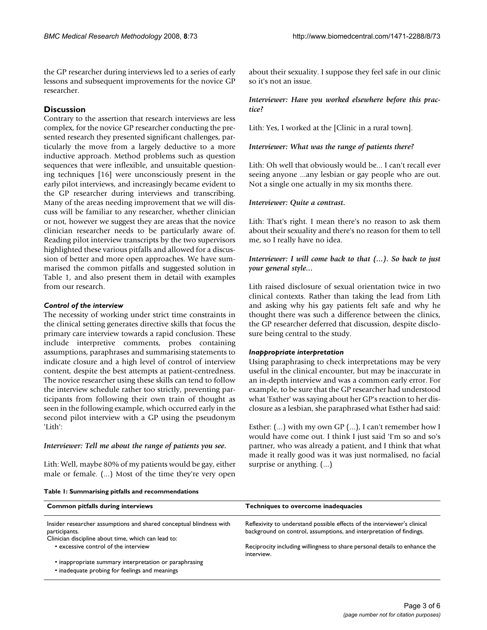the GP researcher during interviews led to a series of early lessons and subsequent improvements for the novice GP researcher.

### **Discussion**

Contrary to the assertion that research interviews are less complex, for the novice GP researcher conducting the presented research they presented significant challenges, particularly the move from a largely deductive to a more inductive approach. Method problems such as question sequences that were inflexible, and unsuitable questioning techniques [16] were unconsciously present in the early pilot interviews, and increasingly became evident to the GP researcher during interviews and transcribing. Many of the areas needing improvement that we will discuss will be familiar to any researcher, whether clinician or not, however we suggest they are areas that the novice clinician researcher needs to be particularly aware of. Reading pilot interview transcripts by the two supervisors highlighted these various pitfalls and allowed for a discussion of better and more open approaches. We have summarised the common pitfalls and suggested solution in Table 1, and also present them in detail with examples from our research.

#### *Control of the interview*

The necessity of working under strict time constraints in the clinical setting generates directive skills that focus the primary care interview towards a rapid conclusion. These include interpretive comments, probes containing assumptions, paraphrases and summarising statements to indicate closure and a high level of control of interview content, despite the best attempts at patient-centredness. The novice researcher using these skills can tend to follow the interview schedule rather too strictly, preventing participants from following their own train of thought as seen in the following example, which occurred early in the second pilot interview with a GP using the pseudonym 'Lith':

#### *Interviewer: Tell me about the range of patients you see.*

Lith: Well, maybe 80% of my patients would be gay, either male or female. (...) Most of the time they're very open about their sexuality. I suppose they feel safe in our clinic so it's not an issue.

#### *Interviewer: Have you worked elsewhere before this practice?*

Lith: Yes, I worked at the [Clinic in a rural town].

#### *Interviewer: What was the range of patients there?*

Lith: Oh well that obviously would be... I can't recall ever seeing anyone ...any lesbian or gay people who are out. Not a single one actually in my six months there.

#### *Interviewer: Quite a contrast.*

Lith: That's right. I mean there's no reason to ask them about their sexuality and there's no reason for them to tell me, so I really have no idea.

#### *Interviewer: I will come back to that (...). So back to just your general style...*

Lith raised disclosure of sexual orientation twice in two clinical contexts. Rather than taking the lead from Lith and asking why his gay patients felt safe and why he thought there was such a difference between the clinics, the GP researcher deferred that discussion, despite disclosure being central to the study.

#### *Inappropriate interpretation*

Using paraphrasing to check interpretations may be very useful in the clinical encounter, but may be inaccurate in an in-depth interview and was a common early error. For example, to be sure that the GP researcher had understood what 'Esther' was saying about her GP's reaction to her disclosure as a lesbian, she paraphrased what Esther had said:

Esther: (...) with my own GP (...), I can't remember how I would have come out. I think I just said 'I'm so and so's partner, who was already a patient, and I think that what made it really good was it was just normalised, no facial surprise or anything. (...)

| <b>Common pitfalls during interviews</b>                                                                                                    | Techniques to overcome inadequacies                                                                                                             |
|---------------------------------------------------------------------------------------------------------------------------------------------|-------------------------------------------------------------------------------------------------------------------------------------------------|
| Insider researcher assumptions and shared conceptual blindness with<br>participants.<br>Clinician discipline about time, which can lead to: | Reflexivity to understand possible effects of the interviewer's clinical<br>background on control, assumptions, and interpretation of findings. |
| • excessive control of the interview                                                                                                        | Reciprocity including willingness to share personal details to enhance the<br>interview.                                                        |
| • inappropriate summary interpretation or paraphrasing<br>• inadequate probing for feelings and meanings                                    |                                                                                                                                                 |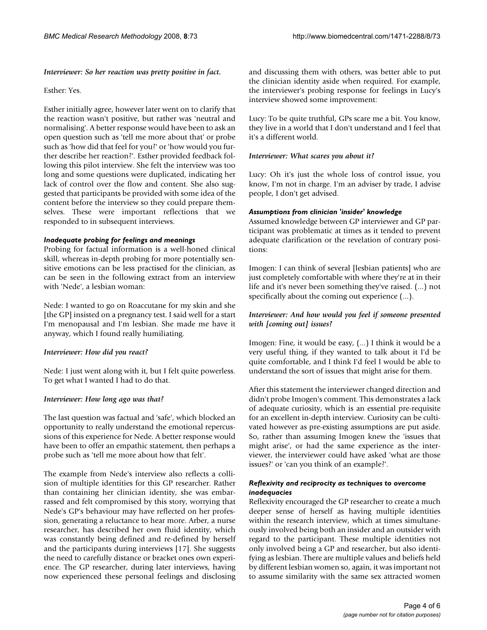#### *Interviewer: So her reaction was pretty positive in fact.*

#### Esther: Yes.

Esther initially agree, however later went on to clarify that the reaction wasn't positive, but rather was 'neutral and normalising'. A better response would have been to ask an open question such as 'tell me more about that' or probe such as 'how did that feel for you?' or 'how would you further describe her reaction?'. Esther provided feedback following this pilot interview. She felt the interview was too long and some questions were duplicated, indicating her lack of control over the flow and content. She also suggested that participants be provided with some idea of the content before the interview so they could prepare themselves. These were important reflections that we responded to in subsequent interviews.

#### *Inadequate probing for feelings and meanings*

Probing for factual information is a well-honed clinical skill, whereas in-depth probing for more potentially sensitive emotions can be less practised for the clinician, as can be seen in the following extract from an interview with 'Nede', a lesbian woman:

Nede: I wanted to go on Roaccutane for my skin and she [the GP] insisted on a pregnancy test. I said well for a start I'm menopausal and I'm lesbian. She made me have it anyway, which I found really humiliating.

#### *Interviewer: How did you react?*

Nede: I just went along with it, but I felt quite powerless. To get what I wanted I had to do that.

#### *Interviewer: How long ago was that?*

The last question was factual and 'safe', which blocked an opportunity to really understand the emotional repercussions of this experience for Nede. A better response would have been to offer an empathic statement, then perhaps a probe such as 'tell me more about how that felt'.

The example from Nede's interview also reflects a collision of multiple identities for this GP researcher. Rather than containing her clinician identity, she was embarrassed and felt compromised by this story, worrying that Nede's GP's behaviour may have reflected on her profession, generating a reluctance to hear more. Arber, a nurse researcher, has described her own fluid identity, which was constantly being defined and re-defined by herself and the participants during interviews [17]. She suggests the need to carefully distance or bracket ones own experience. The GP researcher, during later interviews, having now experienced these personal feelings and disclosing and discussing them with others, was better able to put the clinician identity aside when required. For example, the interviewer's probing response for feelings in Lucy's interview showed some improvement:

Lucy: To be quite truthful, GPs scare me a bit. You know, they live in a world that I don't understand and I feel that it's a different world.

#### *Interviewer: What scares you about it?*

Lucy: Oh it's just the whole loss of control issue, you know, I'm not in charge. I'm an adviser by trade, I advise people, I don't get advised.

#### *Assumptions from clinician 'insider' knowledge*

Assumed knowledge between GP interviewer and GP participant was problematic at times as it tended to prevent adequate clarification or the revelation of contrary positions:

Imogen: I can think of several [lesbian patients] who are just completely comfortable with where they're at in their life and it's never been something they've raised. (...) not specifically about the coming out experience (...).

### *Interviewer: And how would you feel if someone presented with [coming out] issues?*

Imogen: Fine, it would be easy, (...) I think it would be a very useful thing, if they wanted to talk about it I'd be quite comfortable, and I think I'd feel I would be able to understand the sort of issues that might arise for them.

After this statement the interviewer changed direction and didn't probe Imogen's comment. This demonstrates a lack of adequate curiosity, which is an essential pre-requisite for an excellent in-depth interview. Curiosity can be cultivated however as pre-existing assumptions are put aside. So, rather than assuming Imogen knew the 'issues that might arise', or had the same experience as the interviewer, the interviewer could have asked 'what are those issues?' or 'can you think of an example?'.

#### *Reflexivity and reciprocity as techniques to overcome inadequacies*

Reflexivity encouraged the GP researcher to create a much deeper sense of herself as having multiple identities within the research interview, which at times simultaneously involved being both an insider and an outsider with regard to the participant. These multiple identities not only involved being a GP and researcher, but also identifying as lesbian. There are multiple values and beliefs held by different lesbian women so, again, it was important not to assume similarity with the same sex attracted women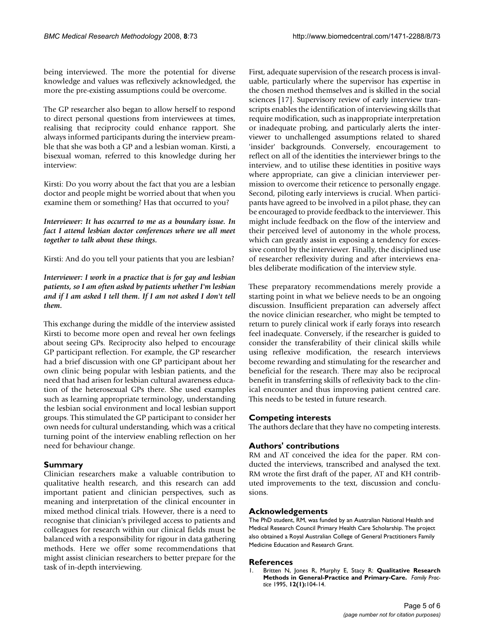being interviewed. The more the potential for diverse knowledge and values was reflexively acknowledged, the more the pre-existing assumptions could be overcome.

The GP researcher also began to allow herself to respond to direct personal questions from interviewees at times, realising that reciprocity could enhance rapport. She always informed participants during the interview preamble that she was both a GP and a lesbian woman. Kirsti, a bisexual woman, referred to this knowledge during her interview:

Kirsti: Do you worry about the fact that you are a lesbian doctor and people might be worried about that when you examine them or something? Has that occurred to you?

*Interviewer: It has occurred to me as a boundary issue. In fact I attend lesbian doctor conferences where we all meet together to talk about these things.*

Kirsti: And do you tell your patients that you are lesbian?

*Interviewer: I work in a practice that is for gay and lesbian patients, so I am often asked by patients whether I'm lesbian and if I am asked I tell them. If I am not asked I don't tell them.*

This exchange during the middle of the interview assisted Kirsti to become more open and reveal her own feelings about seeing GPs. Reciprocity also helped to encourage GP participant reflection. For example, the GP researcher had a brief discussion with one GP participant about her own clinic being popular with lesbian patients, and the need that had arisen for lesbian cultural awareness education of the heterosexual GPs there. She used examples such as learning appropriate terminology, understanding the lesbian social environment and local lesbian support groups. This stimulated the GP participant to consider her own needs for cultural understanding, which was a critical turning point of the interview enabling reflection on her need for behaviour change.

#### **Summary**

Clinician researchers make a valuable contribution to qualitative health research, and this research can add important patient and clinician perspectives, such as meaning and interpretation of the clinical encounter in mixed method clinical trials. However, there is a need to recognise that clinician's privileged access to patients and colleagues for research within our clinical fields must be balanced with a responsibility for rigour in data gathering methods. Here we offer some recommendations that might assist clinician researchers to better prepare for the task of in-depth interviewing.

First, adequate supervision of the research process is invaluable, particularly where the supervisor has expertise in the chosen method themselves and is skilled in the social sciences [17]. Supervisory review of early interview transcripts enables the identification of interviewing skills that require modification, such as inappropriate interpretation or inadequate probing, and particularly alerts the interviewer to unchallenged assumptions related to shared 'insider' backgrounds. Conversely, encouragement to reflect on all of the identities the interviewer brings to the interview, and to utilise these identities in positive ways where appropriate, can give a clinician interviewer permission to overcome their reticence to personally engage. Second, piloting early interviews is crucial. When participants have agreed to be involved in a pilot phase, they can be encouraged to provide feedback to the interviewer. This might include feedback on the flow of the interview and their perceived level of autonomy in the whole process, which can greatly assist in exposing a tendency for excessive control by the interviewer. Finally, the disciplined use of researcher reflexivity during and after interviews enables deliberate modification of the interview style.

These preparatory recommendations merely provide a starting point in what we believe needs to be an ongoing discussion. Insufficient preparation can adversely affect the novice clinician researcher, who might be tempted to return to purely clinical work if early forays into research feel inadequate. Conversely, if the researcher is guided to consider the transferability of their clinical skills while using reflexive modification, the research interviews become rewarding and stimulating for the researcher and beneficial for the research. There may also be reciprocal benefit in transferring skills of reflexivity back to the clinical encounter and thus improving patient centred care. This needs to be tested in future research.

#### **Competing interests**

The authors declare that they have no competing interests.

#### **Authors' contributions**

RM and AT conceived the idea for the paper. RM conducted the interviews, transcribed and analysed the text. RM wrote the first draft of the paper, AT and KH contributed improvements to the text, discussion and conclusions.

#### **Acknowledgements**

The PhD student, RM, was funded by an Australian National Health and Medical Research Council Primary Health Care Scholarship. The project also obtained a Royal Australian College of General Practitioners Family Medicine Education and Research Grant.

#### **References**

1. Britten N, Jones R, Murphy E, Stacy R: **[Qualitative Research](http://www.ncbi.nlm.nih.gov/entrez/query.fcgi?cmd=Retrieve&db=PubMed&dopt=Abstract&list_uids=7665030) [Methods in General-Practice and Primary-Care.](http://www.ncbi.nlm.nih.gov/entrez/query.fcgi?cmd=Retrieve&db=PubMed&dopt=Abstract&list_uids=7665030)** *Family Practice* 1995, **12(1):**104-14.